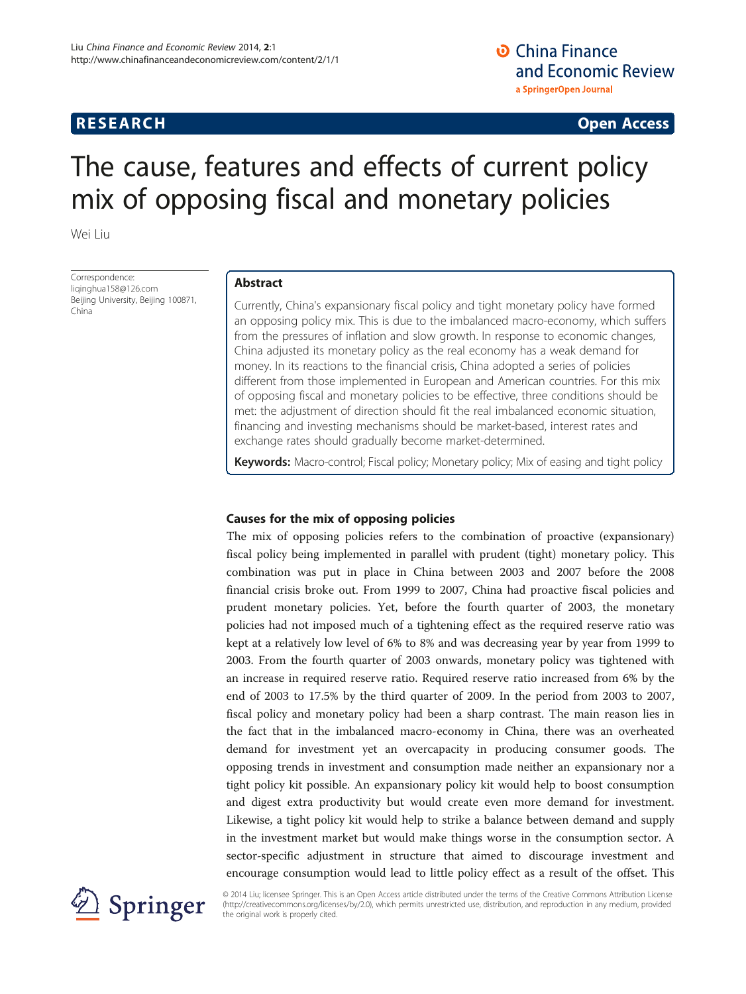## **RESEARCH CHINESE ARCH CHINESE ARCH CHINESE ARCH**

# The cause, features and effects of current policy mix of opposing fiscal and monetary policies

Wei Liu

Correspondence: [liqinghua158@126.com](mailto:liqinghua158@126.com) Beijing University, Beijing 100871, China

#### Abstract

Currently, China's expansionary fiscal policy and tight monetary policy have formed an opposing policy mix. This is due to the imbalanced macro-economy, which suffers from the pressures of inflation and slow growth. In response to economic changes, China adjusted its monetary policy as the real economy has a weak demand for money. In its reactions to the financial crisis, China adopted a series of policies different from those implemented in European and American countries. For this mix of opposing fiscal and monetary policies to be effective, three conditions should be met: the adjustment of direction should fit the real imbalanced economic situation, financing and investing mechanisms should be market-based, interest rates and exchange rates should gradually become market-determined.

Keywords: Macro-control; Fiscal policy; Monetary policy; Mix of easing and tight policy

#### Causes for the mix of opposing policies

The mix of opposing policies refers to the combination of proactive (expansionary) fiscal policy being implemented in parallel with prudent (tight) monetary policy. This combination was put in place in China between 2003 and 2007 before the 2008 financial crisis broke out. From 1999 to 2007, China had proactive fiscal policies and prudent monetary policies. Yet, before the fourth quarter of 2003, the monetary policies had not imposed much of a tightening effect as the required reserve ratio was kept at a relatively low level of 6% to 8% and was decreasing year by year from 1999 to 2003. From the fourth quarter of 2003 onwards, monetary policy was tightened with an increase in required reserve ratio. Required reserve ratio increased from 6% by the end of 2003 to 17.5% by the third quarter of 2009. In the period from 2003 to 2007, fiscal policy and monetary policy had been a sharp contrast. The main reason lies in the fact that in the imbalanced macro-economy in China, there was an overheated demand for investment yet an overcapacity in producing consumer goods. The opposing trends in investment and consumption made neither an expansionary nor a tight policy kit possible. An expansionary policy kit would help to boost consumption and digest extra productivity but would create even more demand for investment. Likewise, a tight policy kit would help to strike a balance between demand and supply in the investment market but would make things worse in the consumption sector. A sector-specific adjustment in structure that aimed to discourage investment and encourage consumption would lead to little policy effect as a result of the offset. This



© 2014 Liu; licensee Springer. This is an Open Access article distributed under the terms of the Creative Commons Attribution License (<http://creativecommons.org/licenses/by/2.0>), which permits unrestricted use, distribution, and reproduction in any medium, provided the original work is properly cited.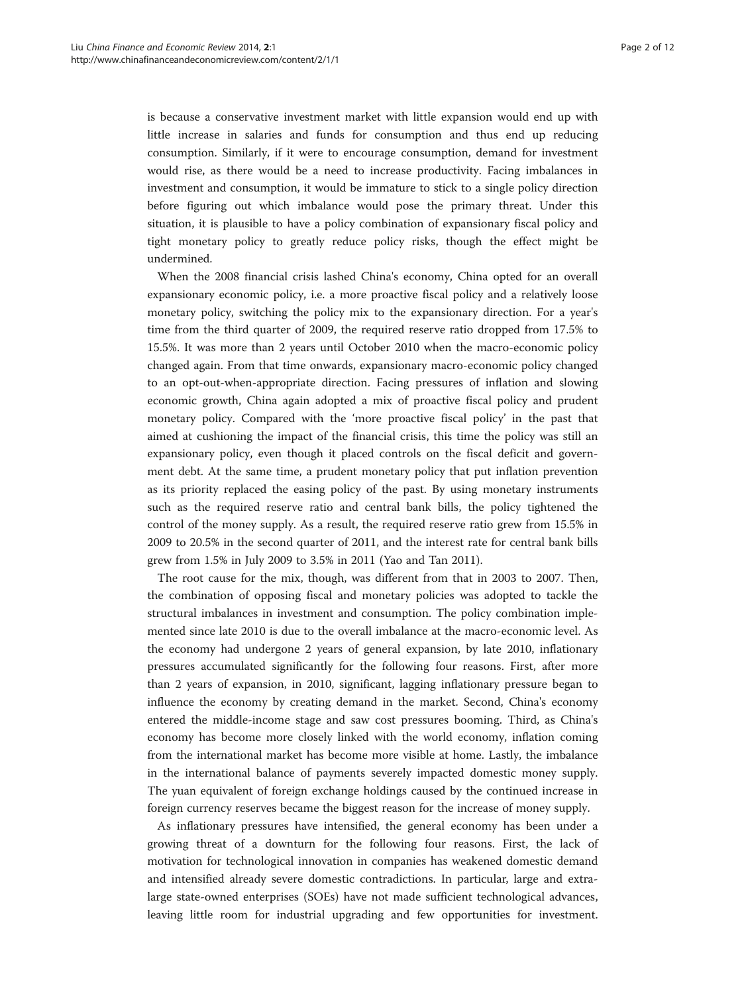is because a conservative investment market with little expansion would end up with little increase in salaries and funds for consumption and thus end up reducing consumption. Similarly, if it were to encourage consumption, demand for investment would rise, as there would be a need to increase productivity. Facing imbalances in investment and consumption, it would be immature to stick to a single policy direction before figuring out which imbalance would pose the primary threat. Under this situation, it is plausible to have a policy combination of expansionary fiscal policy and tight monetary policy to greatly reduce policy risks, though the effect might be undermined.

When the 2008 financial crisis lashed China's economy, China opted for an overall expansionary economic policy, i.e. a more proactive fiscal policy and a relatively loose monetary policy, switching the policy mix to the expansionary direction. For a year's time from the third quarter of 2009, the required reserve ratio dropped from 17.5% to 15.5%. It was more than 2 years until October 2010 when the macro-economic policy changed again. From that time onwards, expansionary macro-economic policy changed to an opt-out-when-appropriate direction. Facing pressures of inflation and slowing economic growth, China again adopted a mix of proactive fiscal policy and prudent monetary policy. Compared with the 'more proactive fiscal policy' in the past that aimed at cushioning the impact of the financial crisis, this time the policy was still an expansionary policy, even though it placed controls on the fiscal deficit and government debt. At the same time, a prudent monetary policy that put inflation prevention as its priority replaced the easing policy of the past. By using monetary instruments such as the required reserve ratio and central bank bills, the policy tightened the control of the money supply. As a result, the required reserve ratio grew from 15.5% in 2009 to 20.5% in the second quarter of 2011, and the interest rate for central bank bills grew from 1.5% in July 2009 to 3.5% in 2011 (Yao and Tan [2011](#page-11-0)).

The root cause for the mix, though, was different from that in 2003 to 2007. Then, the combination of opposing fiscal and monetary policies was adopted to tackle the structural imbalances in investment and consumption. The policy combination implemented since late 2010 is due to the overall imbalance at the macro-economic level. As the economy had undergone 2 years of general expansion, by late 2010, inflationary pressures accumulated significantly for the following four reasons. First, after more than 2 years of expansion, in 2010, significant, lagging inflationary pressure began to influence the economy by creating demand in the market. Second, China's economy entered the middle-income stage and saw cost pressures booming. Third, as China's economy has become more closely linked with the world economy, inflation coming from the international market has become more visible at home. Lastly, the imbalance in the international balance of payments severely impacted domestic money supply. The yuan equivalent of foreign exchange holdings caused by the continued increase in foreign currency reserves became the biggest reason for the increase of money supply.

As inflationary pressures have intensified, the general economy has been under a growing threat of a downturn for the following four reasons. First, the lack of motivation for technological innovation in companies has weakened domestic demand and intensified already severe domestic contradictions. In particular, large and extralarge state-owned enterprises (SOEs) have not made sufficient technological advances, leaving little room for industrial upgrading and few opportunities for investment.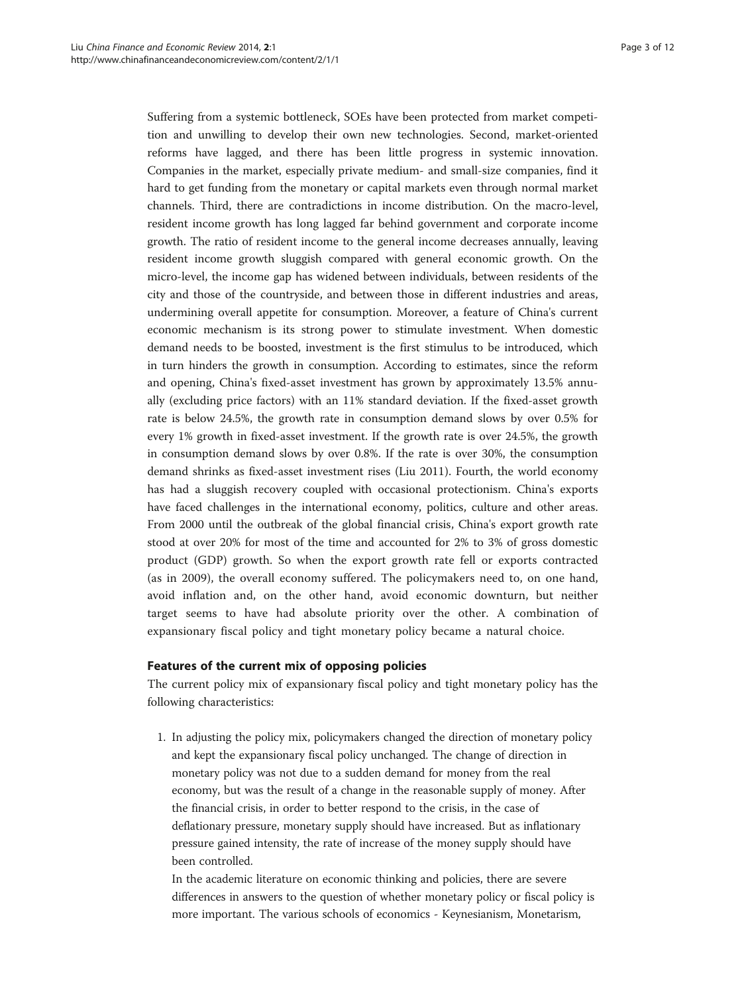Suffering from a systemic bottleneck, SOEs have been protected from market competition and unwilling to develop their own new technologies. Second, market-oriented reforms have lagged, and there has been little progress in systemic innovation. Companies in the market, especially private medium- and small-size companies, find it hard to get funding from the monetary or capital markets even through normal market channels. Third, there are contradictions in income distribution. On the macro-level, resident income growth has long lagged far behind government and corporate income growth. The ratio of resident income to the general income decreases annually, leaving resident income growth sluggish compared with general economic growth. On the micro-level, the income gap has widened between individuals, between residents of the city and those of the countryside, and between those in different industries and areas, undermining overall appetite for consumption. Moreover, a feature of China's current economic mechanism is its strong power to stimulate investment. When domestic demand needs to be boosted, investment is the first stimulus to be introduced, which in turn hinders the growth in consumption. According to estimates, since the reform and opening, China's fixed-asset investment has grown by approximately 13.5% annually (excluding price factors) with an 11% standard deviation. If the fixed-asset growth rate is below 24.5%, the growth rate in consumption demand slows by over 0.5% for every 1% growth in fixed-asset investment. If the growth rate is over 24.5%, the growth in consumption demand slows by over 0.8%. If the rate is over 30%, the consumption demand shrinks as fixed-asset investment rises (Liu [2011](#page-11-0)). Fourth, the world economy has had a sluggish recovery coupled with occasional protectionism. China's exports have faced challenges in the international economy, politics, culture and other areas. From 2000 until the outbreak of the global financial crisis, China's export growth rate stood at over 20% for most of the time and accounted for 2% to 3% of gross domestic product (GDP) growth. So when the export growth rate fell or exports contracted (as in 2009), the overall economy suffered. The policymakers need to, on one hand, avoid inflation and, on the other hand, avoid economic downturn, but neither target seems to have had absolute priority over the other. A combination of expansionary fiscal policy and tight monetary policy became a natural choice.

#### Features of the current mix of opposing policies

The current policy mix of expansionary fiscal policy and tight monetary policy has the following characteristics:

1. In adjusting the policy mix, policymakers changed the direction of monetary policy and kept the expansionary fiscal policy unchanged. The change of direction in monetary policy was not due to a sudden demand for money from the real economy, but was the result of a change in the reasonable supply of money. After the financial crisis, in order to better respond to the crisis, in the case of deflationary pressure, monetary supply should have increased. But as inflationary pressure gained intensity, the rate of increase of the money supply should have been controlled.

In the academic literature on economic thinking and policies, there are severe differences in answers to the question of whether monetary policy or fiscal policy is more important. The various schools of economics - Keynesianism, Monetarism,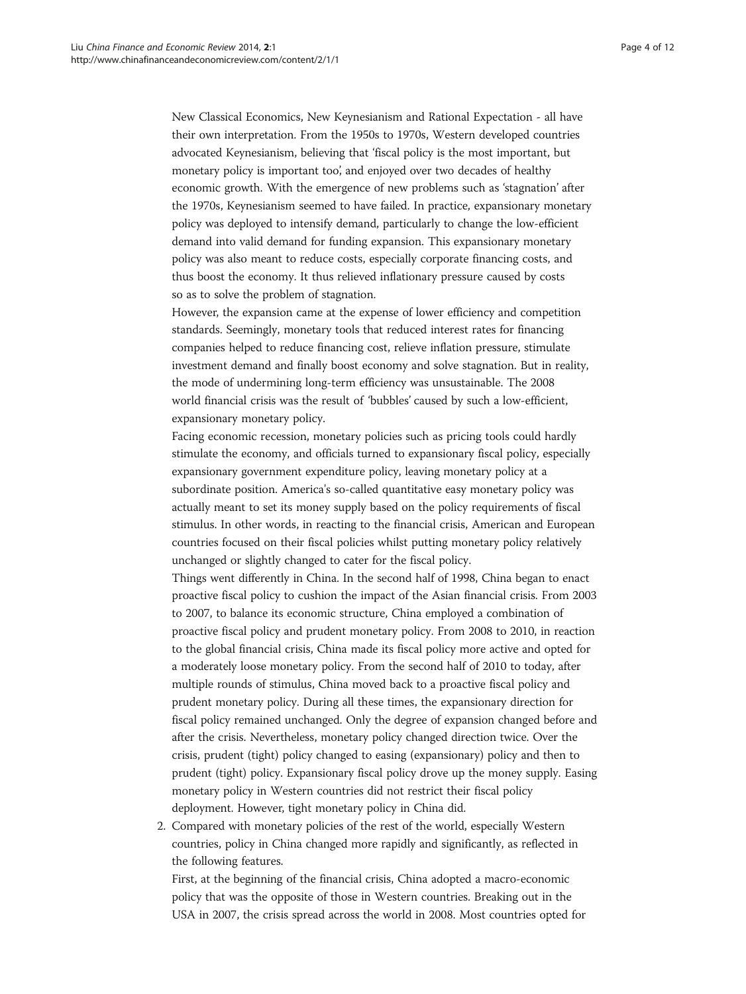New Classical Economics, New Keynesianism and Rational Expectation - all have their own interpretation. From the 1950s to 1970s, Western developed countries advocated Keynesianism, believing that 'fiscal policy is the most important, but monetary policy is important too', and enjoyed over two decades of healthy economic growth. With the emergence of new problems such as 'stagnation' after the 1970s, Keynesianism seemed to have failed. In practice, expansionary monetary policy was deployed to intensify demand, particularly to change the low-efficient demand into valid demand for funding expansion. This expansionary monetary policy was also meant to reduce costs, especially corporate financing costs, and thus boost the economy. It thus relieved inflationary pressure caused by costs so as to solve the problem of stagnation.

However, the expansion came at the expense of lower efficiency and competition standards. Seemingly, monetary tools that reduced interest rates for financing companies helped to reduce financing cost, relieve inflation pressure, stimulate investment demand and finally boost economy and solve stagnation. But in reality, the mode of undermining long-term efficiency was unsustainable. The 2008 world financial crisis was the result of 'bubbles' caused by such a low-efficient, expansionary monetary policy.

Facing economic recession, monetary policies such as pricing tools could hardly stimulate the economy, and officials turned to expansionary fiscal policy, especially expansionary government expenditure policy, leaving monetary policy at a subordinate position. America's so-called quantitative easy monetary policy was actually meant to set its money supply based on the policy requirements of fiscal stimulus. In other words, in reacting to the financial crisis, American and European countries focused on their fiscal policies whilst putting monetary policy relatively unchanged or slightly changed to cater for the fiscal policy.

Things went differently in China. In the second half of 1998, China began to enact proactive fiscal policy to cushion the impact of the Asian financial crisis. From 2003 to 2007, to balance its economic structure, China employed a combination of proactive fiscal policy and prudent monetary policy. From 2008 to 2010, in reaction to the global financial crisis, China made its fiscal policy more active and opted for a moderately loose monetary policy. From the second half of 2010 to today, after multiple rounds of stimulus, China moved back to a proactive fiscal policy and prudent monetary policy. During all these times, the expansionary direction for fiscal policy remained unchanged. Only the degree of expansion changed before and after the crisis. Nevertheless, monetary policy changed direction twice. Over the crisis, prudent (tight) policy changed to easing (expansionary) policy and then to prudent (tight) policy. Expansionary fiscal policy drove up the money supply. Easing monetary policy in Western countries did not restrict their fiscal policy deployment. However, tight monetary policy in China did.

2. Compared with monetary policies of the rest of the world, especially Western countries, policy in China changed more rapidly and significantly, as reflected in the following features.

First, at the beginning of the financial crisis, China adopted a macro-economic policy that was the opposite of those in Western countries. Breaking out in the USA in 2007, the crisis spread across the world in 2008. Most countries opted for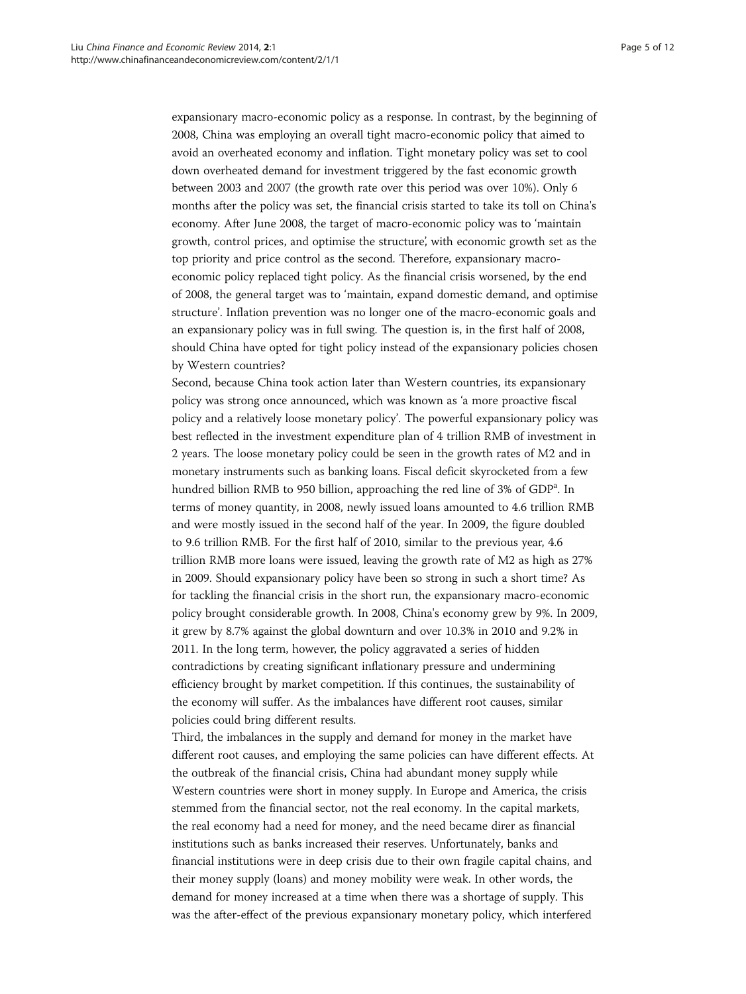expansionary macro-economic policy as a response. In contrast, by the beginning of 2008, China was employing an overall tight macro-economic policy that aimed to avoid an overheated economy and inflation. Tight monetary policy was set to cool down overheated demand for investment triggered by the fast economic growth between 2003 and 2007 (the growth rate over this period was over 10%). Only 6 months after the policy was set, the financial crisis started to take its toll on China's economy. After June 2008, the target of macro-economic policy was to 'maintain growth, control prices, and optimise the structure', with economic growth set as the top priority and price control as the second. Therefore, expansionary macroeconomic policy replaced tight policy. As the financial crisis worsened, by the end of 2008, the general target was to 'maintain, expand domestic demand, and optimise structure'. Inflation prevention was no longer one of the macro-economic goals and an expansionary policy was in full swing. The question is, in the first half of 2008, should China have opted for tight policy instead of the expansionary policies chosen by Western countries?

Second, because China took action later than Western countries, its expansionary policy was strong once announced, which was known as 'a more proactive fiscal policy and a relatively loose monetary policy'. The powerful expansionary policy was best reflected in the investment expenditure plan of 4 trillion RMB of investment in 2 years. The loose monetary policy could be seen in the growth rates of M2 and in monetary instruments such as banking loans. Fiscal deficit skyrocketed from a few hundred billion RMB to 950 billion, approaching the red line of 3% of GDP<sup>a</sup>. In terms of money quantity, in 2008, newly issued loans amounted to 4.6 trillion RMB and were mostly issued in the second half of the year. In 2009, the figure doubled to 9.6 trillion RMB. For the first half of 2010, similar to the previous year, 4.6 trillion RMB more loans were issued, leaving the growth rate of M2 as high as 27% in 2009. Should expansionary policy have been so strong in such a short time? As for tackling the financial crisis in the short run, the expansionary macro-economic policy brought considerable growth. In 2008, China's economy grew by 9%. In 2009, it grew by 8.7% against the global downturn and over 10.3% in 2010 and 9.2% in 2011. In the long term, however, the policy aggravated a series of hidden contradictions by creating significant inflationary pressure and undermining efficiency brought by market competition. If this continues, the sustainability of the economy will suffer. As the imbalances have different root causes, similar policies could bring different results.

Third, the imbalances in the supply and demand for money in the market have different root causes, and employing the same policies can have different effects. At the outbreak of the financial crisis, China had abundant money supply while Western countries were short in money supply. In Europe and America, the crisis stemmed from the financial sector, not the real economy. In the capital markets, the real economy had a need for money, and the need became direr as financial institutions such as banks increased their reserves. Unfortunately, banks and financial institutions were in deep crisis due to their own fragile capital chains, and their money supply (loans) and money mobility were weak. In other words, the demand for money increased at a time when there was a shortage of supply. This was the after-effect of the previous expansionary monetary policy, which interfered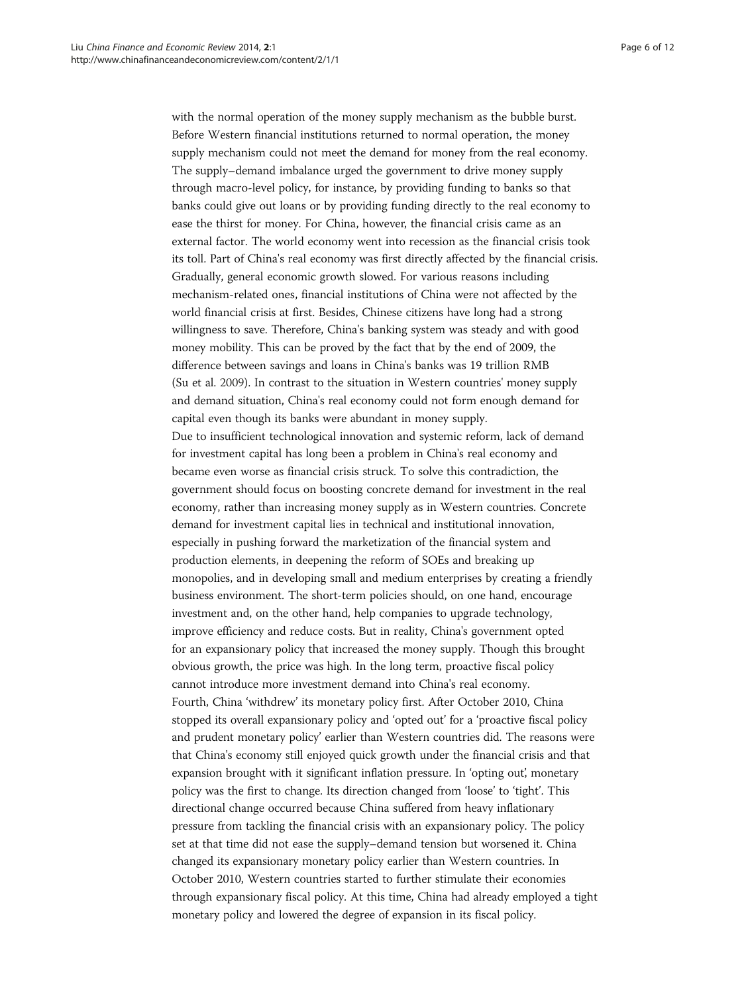with the normal operation of the money supply mechanism as the bubble burst. Before Western financial institutions returned to normal operation, the money supply mechanism could not meet the demand for money from the real economy. The supply–demand imbalance urged the government to drive money supply through macro-level policy, for instance, by providing funding to banks so that banks could give out loans or by providing funding directly to the real economy to ease the thirst for money. For China, however, the financial crisis came as an external factor. The world economy went into recession as the financial crisis took its toll. Part of China's real economy was first directly affected by the financial crisis. Gradually, general economic growth slowed. For various reasons including mechanism-related ones, financial institutions of China were not affected by the world financial crisis at first. Besides, Chinese citizens have long had a strong willingness to save. Therefore, China's banking system was steady and with good money mobility. This can be proved by the fact that by the end of 2009, the difference between savings and loans in China's banks was 19 trillion RMB (Su et al. [2009\)](#page-11-0). In contrast to the situation in Western countries' money supply and demand situation, China's real economy could not form enough demand for capital even though its banks were abundant in money supply. Due to insufficient technological innovation and systemic reform, lack of demand for investment capital has long been a problem in China's real economy and became even worse as financial crisis struck. To solve this contradiction, the government should focus on boosting concrete demand for investment in the real economy, rather than increasing money supply as in Western countries. Concrete demand for investment capital lies in technical and institutional innovation, especially in pushing forward the marketization of the financial system and production elements, in deepening the reform of SOEs and breaking up monopolies, and in developing small and medium enterprises by creating a friendly business environment. The short-term policies should, on one hand, encourage investment and, on the other hand, help companies to upgrade technology, improve efficiency and reduce costs. But in reality, China's government opted for an expansionary policy that increased the money supply. Though this brought obvious growth, the price was high. In the long term, proactive fiscal policy cannot introduce more investment demand into China's real economy. Fourth, China 'withdrew' its monetary policy first. After October 2010, China stopped its overall expansionary policy and 'opted out' for a 'proactive fiscal policy and prudent monetary policy' earlier than Western countries did. The reasons were that China's economy still enjoyed quick growth under the financial crisis and that expansion brought with it significant inflation pressure. In 'opting out', monetary policy was the first to change. Its direction changed from 'loose' to 'tight'. This directional change occurred because China suffered from heavy inflationary pressure from tackling the financial crisis with an expansionary policy. The policy set at that time did not ease the supply–demand tension but worsened it. China changed its expansionary monetary policy earlier than Western countries. In October 2010, Western countries started to further stimulate their economies through expansionary fiscal policy. At this time, China had already employed a tight monetary policy and lowered the degree of expansion in its fiscal policy.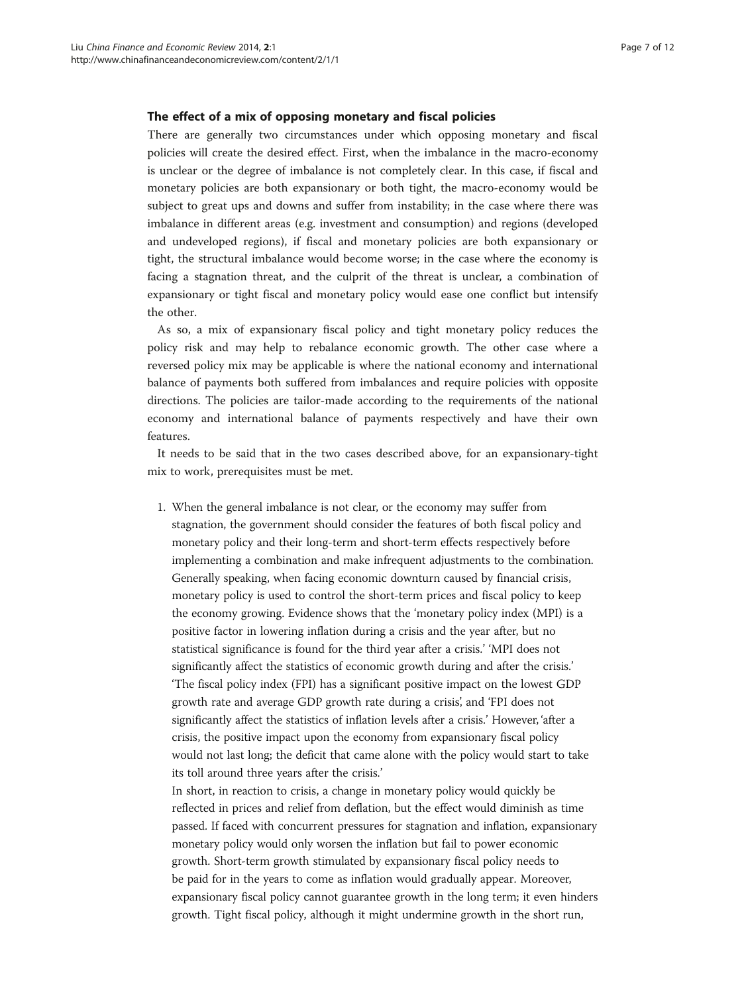#### The effect of a mix of opposing monetary and fiscal policies

There are generally two circumstances under which opposing monetary and fiscal policies will create the desired effect. First, when the imbalance in the macro-economy is unclear or the degree of imbalance is not completely clear. In this case, if fiscal and monetary policies are both expansionary or both tight, the macro-economy would be subject to great ups and downs and suffer from instability; in the case where there was imbalance in different areas (e.g. investment and consumption) and regions (developed and undeveloped regions), if fiscal and monetary policies are both expansionary or tight, the structural imbalance would become worse; in the case where the economy is facing a stagnation threat, and the culprit of the threat is unclear, a combination of expansionary or tight fiscal and monetary policy would ease one conflict but intensify the other.

As so, a mix of expansionary fiscal policy and tight monetary policy reduces the policy risk and may help to rebalance economic growth. The other case where a reversed policy mix may be applicable is where the national economy and international balance of payments both suffered from imbalances and require policies with opposite directions. The policies are tailor-made according to the requirements of the national economy and international balance of payments respectively and have their own features.

It needs to be said that in the two cases described above, for an expansionary-tight mix to work, prerequisites must be met.

1. When the general imbalance is not clear, or the economy may suffer from stagnation, the government should consider the features of both fiscal policy and monetary policy and their long-term and short-term effects respectively before implementing a combination and make infrequent adjustments to the combination. Generally speaking, when facing economic downturn caused by financial crisis, monetary policy is used to control the short-term prices and fiscal policy to keep the economy growing. Evidence shows that the 'monetary policy index (MPI) is a positive factor in lowering inflation during a crisis and the year after, but no statistical significance is found for the third year after a crisis.' 'MPI does not significantly affect the statistics of economic growth during and after the crisis.' 'The fiscal policy index (FPI) has a significant positive impact on the lowest GDP growth rate and average GDP growth rate during a crisis', and 'FPI does not significantly affect the statistics of inflation levels after a crisis.' However, 'after a crisis, the positive impact upon the economy from expansionary fiscal policy would not last long; the deficit that came alone with the policy would start to take its toll around three years after the crisis.'

In short, in reaction to crisis, a change in monetary policy would quickly be reflected in prices and relief from deflation, but the effect would diminish as time passed. If faced with concurrent pressures for stagnation and inflation, expansionary monetary policy would only worsen the inflation but fail to power economic growth. Short-term growth stimulated by expansionary fiscal policy needs to be paid for in the years to come as inflation would gradually appear. Moreover, expansionary fiscal policy cannot guarantee growth in the long term; it even hinders growth. Tight fiscal policy, although it might undermine growth in the short run,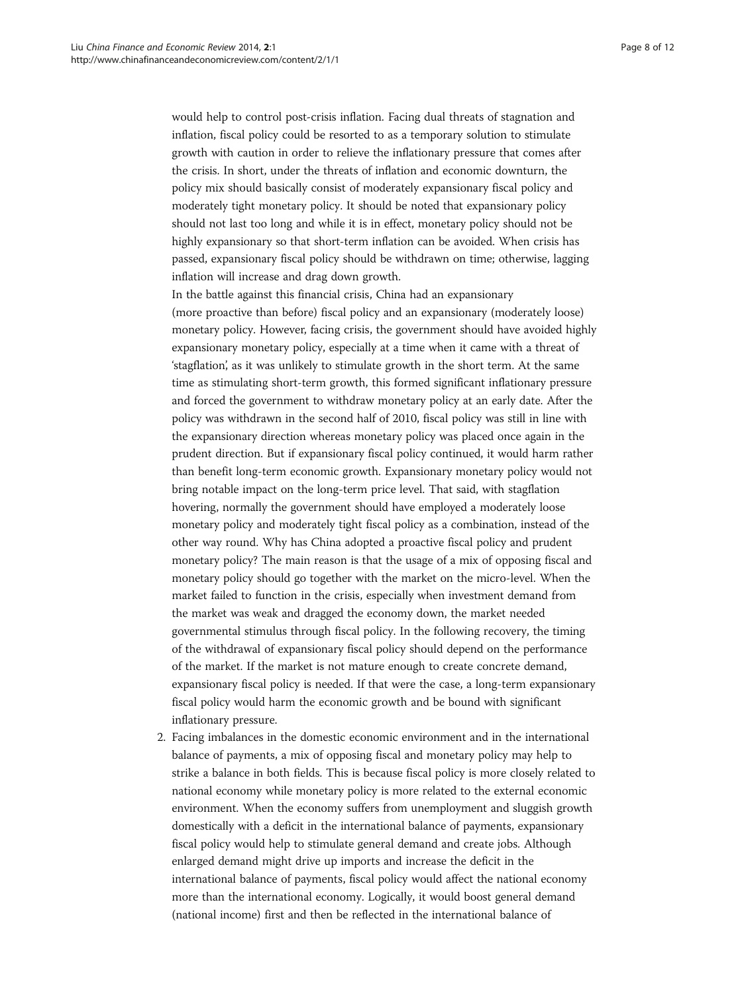would help to control post-crisis inflation. Facing dual threats of stagnation and inflation, fiscal policy could be resorted to as a temporary solution to stimulate growth with caution in order to relieve the inflationary pressure that comes after the crisis. In short, under the threats of inflation and economic downturn, the policy mix should basically consist of moderately expansionary fiscal policy and moderately tight monetary policy. It should be noted that expansionary policy should not last too long and while it is in effect, monetary policy should not be highly expansionary so that short-term inflation can be avoided. When crisis has passed, expansionary fiscal policy should be withdrawn on time; otherwise, lagging inflation will increase and drag down growth.

In the battle against this financial crisis, China had an expansionary (more proactive than before) fiscal policy and an expansionary (moderately loose) monetary policy. However, facing crisis, the government should have avoided highly expansionary monetary policy, especially at a time when it came with a threat of 'stagflation', as it was unlikely to stimulate growth in the short term. At the same time as stimulating short-term growth, this formed significant inflationary pressure and forced the government to withdraw monetary policy at an early date. After the policy was withdrawn in the second half of 2010, fiscal policy was still in line with the expansionary direction whereas monetary policy was placed once again in the prudent direction. But if expansionary fiscal policy continued, it would harm rather than benefit long-term economic growth. Expansionary monetary policy would not bring notable impact on the long-term price level. That said, with stagflation hovering, normally the government should have employed a moderately loose monetary policy and moderately tight fiscal policy as a combination, instead of the other way round. Why has China adopted a proactive fiscal policy and prudent monetary policy? The main reason is that the usage of a mix of opposing fiscal and monetary policy should go together with the market on the micro-level. When the market failed to function in the crisis, especially when investment demand from the market was weak and dragged the economy down, the market needed governmental stimulus through fiscal policy. In the following recovery, the timing of the withdrawal of expansionary fiscal policy should depend on the performance of the market. If the market is not mature enough to create concrete demand, expansionary fiscal policy is needed. If that were the case, a long-term expansionary fiscal policy would harm the economic growth and be bound with significant inflationary pressure.

2. Facing imbalances in the domestic economic environment and in the international balance of payments, a mix of opposing fiscal and monetary policy may help to strike a balance in both fields. This is because fiscal policy is more closely related to national economy while monetary policy is more related to the external economic environment. When the economy suffers from unemployment and sluggish growth domestically with a deficit in the international balance of payments, expansionary fiscal policy would help to stimulate general demand and create jobs. Although enlarged demand might drive up imports and increase the deficit in the international balance of payments, fiscal policy would affect the national economy more than the international economy. Logically, it would boost general demand (national income) first and then be reflected in the international balance of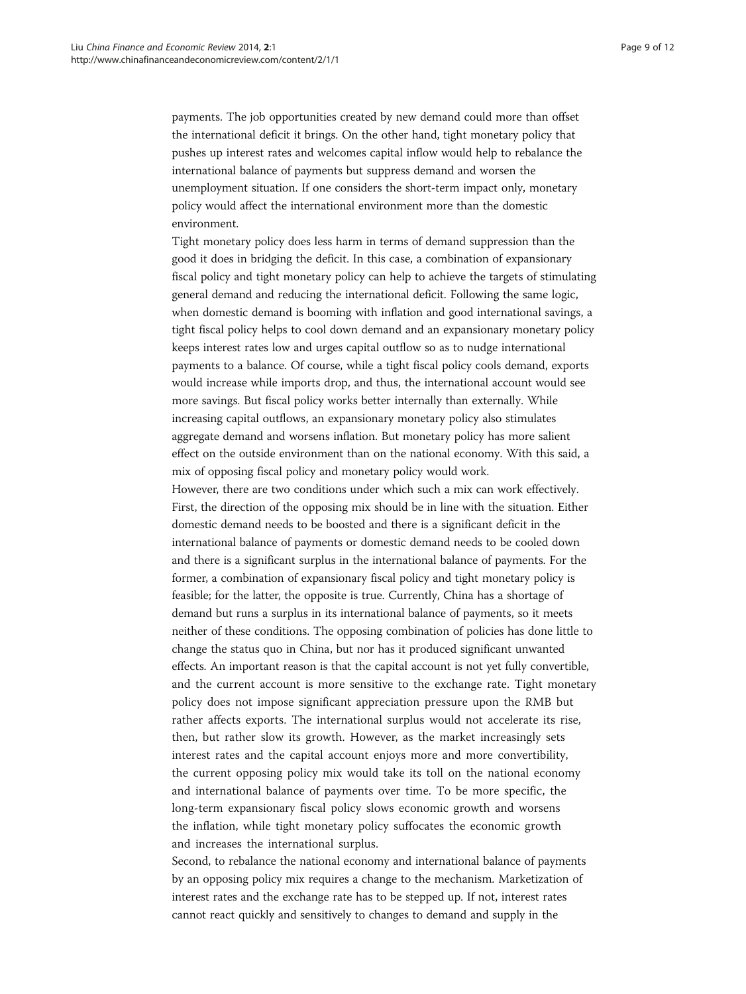payments. The job opportunities created by new demand could more than offset the international deficit it brings. On the other hand, tight monetary policy that pushes up interest rates and welcomes capital inflow would help to rebalance the international balance of payments but suppress demand and worsen the unemployment situation. If one considers the short-term impact only, monetary policy would affect the international environment more than the domestic environment.

Tight monetary policy does less harm in terms of demand suppression than the good it does in bridging the deficit. In this case, a combination of expansionary fiscal policy and tight monetary policy can help to achieve the targets of stimulating general demand and reducing the international deficit. Following the same logic, when domestic demand is booming with inflation and good international savings, a tight fiscal policy helps to cool down demand and an expansionary monetary policy keeps interest rates low and urges capital outflow so as to nudge international payments to a balance. Of course, while a tight fiscal policy cools demand, exports would increase while imports drop, and thus, the international account would see more savings. But fiscal policy works better internally than externally. While increasing capital outflows, an expansionary monetary policy also stimulates aggregate demand and worsens inflation. But monetary policy has more salient effect on the outside environment than on the national economy. With this said, a mix of opposing fiscal policy and monetary policy would work.

However, there are two conditions under which such a mix can work effectively. First, the direction of the opposing mix should be in line with the situation. Either domestic demand needs to be boosted and there is a significant deficit in the international balance of payments or domestic demand needs to be cooled down and there is a significant surplus in the international balance of payments. For the former, a combination of expansionary fiscal policy and tight monetary policy is feasible; for the latter, the opposite is true. Currently, China has a shortage of demand but runs a surplus in its international balance of payments, so it meets neither of these conditions. The opposing combination of policies has done little to change the status quo in China, but nor has it produced significant unwanted effects. An important reason is that the capital account is not yet fully convertible, and the current account is more sensitive to the exchange rate. Tight monetary policy does not impose significant appreciation pressure upon the RMB but rather affects exports. The international surplus would not accelerate its rise, then, but rather slow its growth. However, as the market increasingly sets interest rates and the capital account enjoys more and more convertibility, the current opposing policy mix would take its toll on the national economy and international balance of payments over time. To be more specific, the long-term expansionary fiscal policy slows economic growth and worsens the inflation, while tight monetary policy suffocates the economic growth and increases the international surplus.

Second, to rebalance the national economy and international balance of payments by an opposing policy mix requires a change to the mechanism. Marketization of interest rates and the exchange rate has to be stepped up. If not, interest rates cannot react quickly and sensitively to changes to demand and supply in the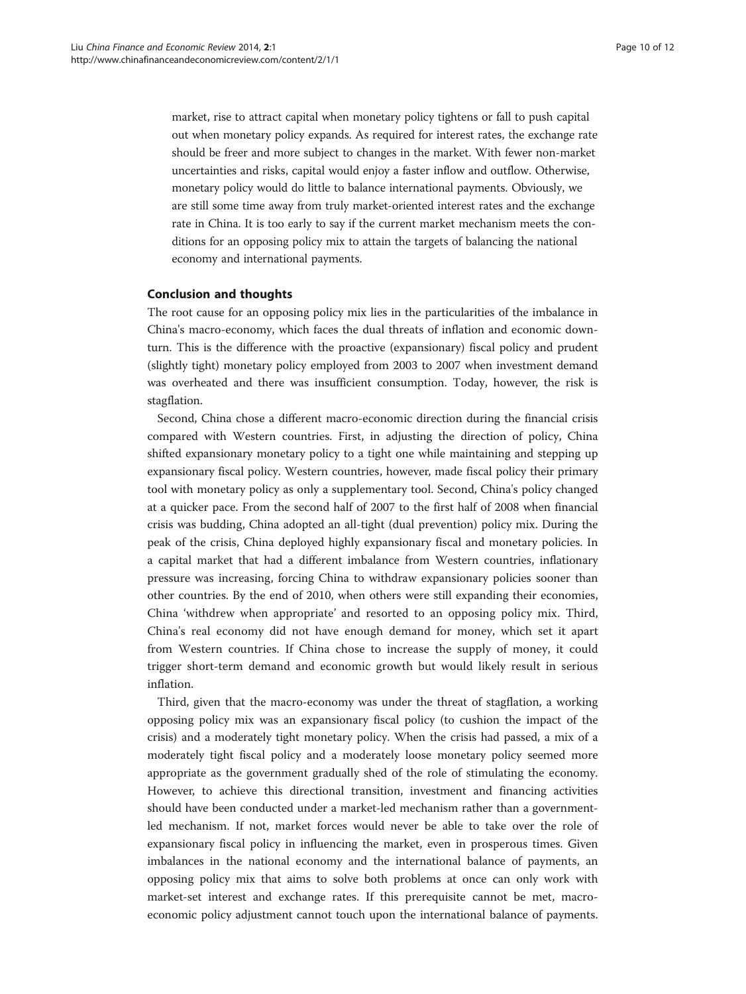market, rise to attract capital when monetary policy tightens or fall to push capital out when monetary policy expands. As required for interest rates, the exchange rate should be freer and more subject to changes in the market. With fewer non-market uncertainties and risks, capital would enjoy a faster inflow and outflow. Otherwise, monetary policy would do little to balance international payments. Obviously, we are still some time away from truly market-oriented interest rates and the exchange rate in China. It is too early to say if the current market mechanism meets the conditions for an opposing policy mix to attain the targets of balancing the national economy and international payments.

#### Conclusion and thoughts

The root cause for an opposing policy mix lies in the particularities of the imbalance in China's macro-economy, which faces the dual threats of inflation and economic downturn. This is the difference with the proactive (expansionary) fiscal policy and prudent (slightly tight) monetary policy employed from 2003 to 2007 when investment demand was overheated and there was insufficient consumption. Today, however, the risk is stagflation.

Second, China chose a different macro-economic direction during the financial crisis compared with Western countries. First, in adjusting the direction of policy, China shifted expansionary monetary policy to a tight one while maintaining and stepping up expansionary fiscal policy. Western countries, however, made fiscal policy their primary tool with monetary policy as only a supplementary tool. Second, China's policy changed at a quicker pace. From the second half of 2007 to the first half of 2008 when financial crisis was budding, China adopted an all-tight (dual prevention) policy mix. During the peak of the crisis, China deployed highly expansionary fiscal and monetary policies. In a capital market that had a different imbalance from Western countries, inflationary pressure was increasing, forcing China to withdraw expansionary policies sooner than other countries. By the end of 2010, when others were still expanding their economies, China 'withdrew when appropriate' and resorted to an opposing policy mix. Third, China's real economy did not have enough demand for money, which set it apart from Western countries. If China chose to increase the supply of money, it could trigger short-term demand and economic growth but would likely result in serious inflation.

Third, given that the macro-economy was under the threat of stagflation, a working opposing policy mix was an expansionary fiscal policy (to cushion the impact of the crisis) and a moderately tight monetary policy. When the crisis had passed, a mix of a moderately tight fiscal policy and a moderately loose monetary policy seemed more appropriate as the government gradually shed of the role of stimulating the economy. However, to achieve this directional transition, investment and financing activities should have been conducted under a market-led mechanism rather than a governmentled mechanism. If not, market forces would never be able to take over the role of expansionary fiscal policy in influencing the market, even in prosperous times. Given imbalances in the national economy and the international balance of payments, an opposing policy mix that aims to solve both problems at once can only work with market-set interest and exchange rates. If this prerequisite cannot be met, macroeconomic policy adjustment cannot touch upon the international balance of payments.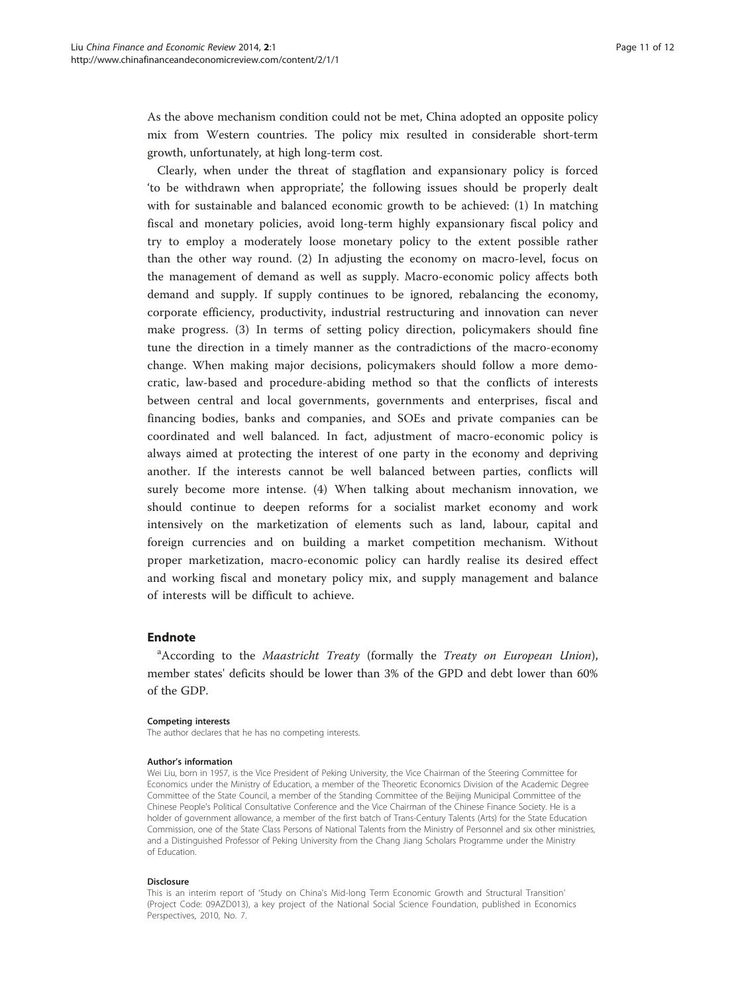As the above mechanism condition could not be met, China adopted an opposite policy mix from Western countries. The policy mix resulted in considerable short-term growth, unfortunately, at high long-term cost.

Clearly, when under the threat of stagflation and expansionary policy is forced 'to be withdrawn when appropriate', the following issues should be properly dealt with for sustainable and balanced economic growth to be achieved: (1) In matching fiscal and monetary policies, avoid long-term highly expansionary fiscal policy and try to employ a moderately loose monetary policy to the extent possible rather than the other way round. (2) In adjusting the economy on macro-level, focus on the management of demand as well as supply. Macro-economic policy affects both demand and supply. If supply continues to be ignored, rebalancing the economy, corporate efficiency, productivity, industrial restructuring and innovation can never make progress. (3) In terms of setting policy direction, policymakers should fine tune the direction in a timely manner as the contradictions of the macro-economy change. When making major decisions, policymakers should follow a more democratic, law-based and procedure-abiding method so that the conflicts of interests between central and local governments, governments and enterprises, fiscal and financing bodies, banks and companies, and SOEs and private companies can be coordinated and well balanced. In fact, adjustment of macro-economic policy is always aimed at protecting the interest of one party in the economy and depriving another. If the interests cannot be well balanced between parties, conflicts will surely become more intense. (4) When talking about mechanism innovation, we should continue to deepen reforms for a socialist market economy and work intensively on the marketization of elements such as land, labour, capital and foreign currencies and on building a market competition mechanism. Without proper marketization, macro-economic policy can hardly realise its desired effect and working fiscal and monetary policy mix, and supply management and balance of interests will be difficult to achieve.

#### Endnote

<sup>a</sup> According to the Maastricht Treaty (formally the Treaty on European Union), member states' deficits should be lower than 3% of the GPD and debt lower than 60% of the GDP.

#### Competing interests

The author declares that he has no competing interests.

#### Author's information

Wei Liu, born in 1957, is the Vice President of Peking University, the Vice Chairman of the Steering Committee for Economics under the Ministry of Education, a member of the Theoretic Economics Division of the Academic Degree Committee of the State Council, a member of the Standing Committee of the Beijing Municipal Committee of the Chinese People's Political Consultative Conference and the Vice Chairman of the Chinese Finance Society. He is a holder of government allowance, a member of the first batch of Trans-Century Talents (Arts) for the State Education Commission, one of the State Class Persons of National Talents from the Ministry of Personnel and six other ministries, and a Distinguished Professor of Peking University from the Chang Jiang Scholars Programme under the Ministry of Education.

#### Disclosure

This is an interim report of 'Study on China's Mid-long Term Economic Growth and Structural Transition' (Project Code: 09AZD013), a key project of the National Social Science Foundation, published in Economics Perspectives, 2010, No. 7.